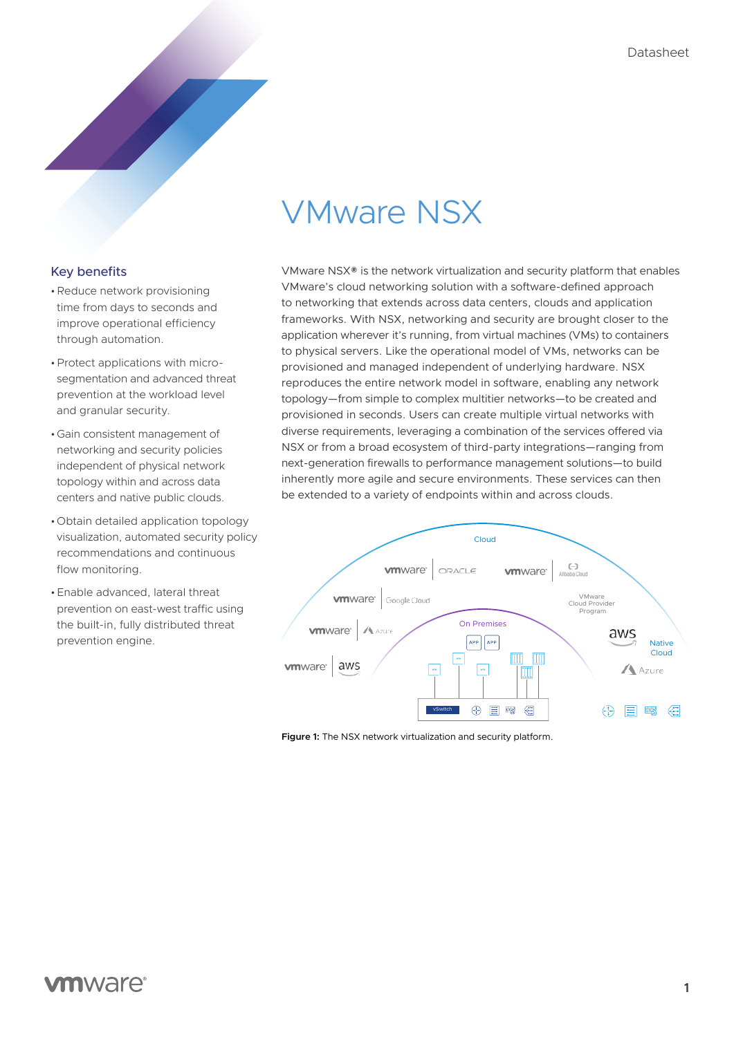# VMware NSX

### Key benefits

- •Reduce network provisioning time from days to seconds and improve operational efficiency through automation.
- •Protect applications with microsegmentation and advanced threat prevention at the workload level and granular security.
- •Gain consistent management of networking and security policies independent of physical network topology within and across data centers and native public clouds.
- •Obtain detailed application topology visualization, automated security policy recommendations and continuous flow monitoring.
- •Enable advanced, lateral threat prevention on east-west traffic using the built-in, fully distributed threat prevention engine.

VMware NSX® is the network virtualization and security platform that enables VMware's cloud networking solution with a software-defined approach to networking that extends across data centers, clouds and application frameworks. With NSX, networking and security are brought closer to the application wherever it's running, from virtual machines (VMs) to containers to physical servers. Like the operational model of VMs, networks can be provisioned and managed independent of underlying hardware. NSX reproduces the entire network model in software, enabling any network topology—from simple to complex multitier networks—to be created and provisioned in seconds. Users can create multiple virtual networks with diverse requirements, leveraging a combination of the services offered via NSX or from a broad ecosystem of third-party integrations—ranging from next-generation firewalls to performance management solutions—to build inherently more agile and secure environments. These services can then be extended to a variety of endpoints within and across clouds.



**Figure 1:** The NSX network virtualization and security platform.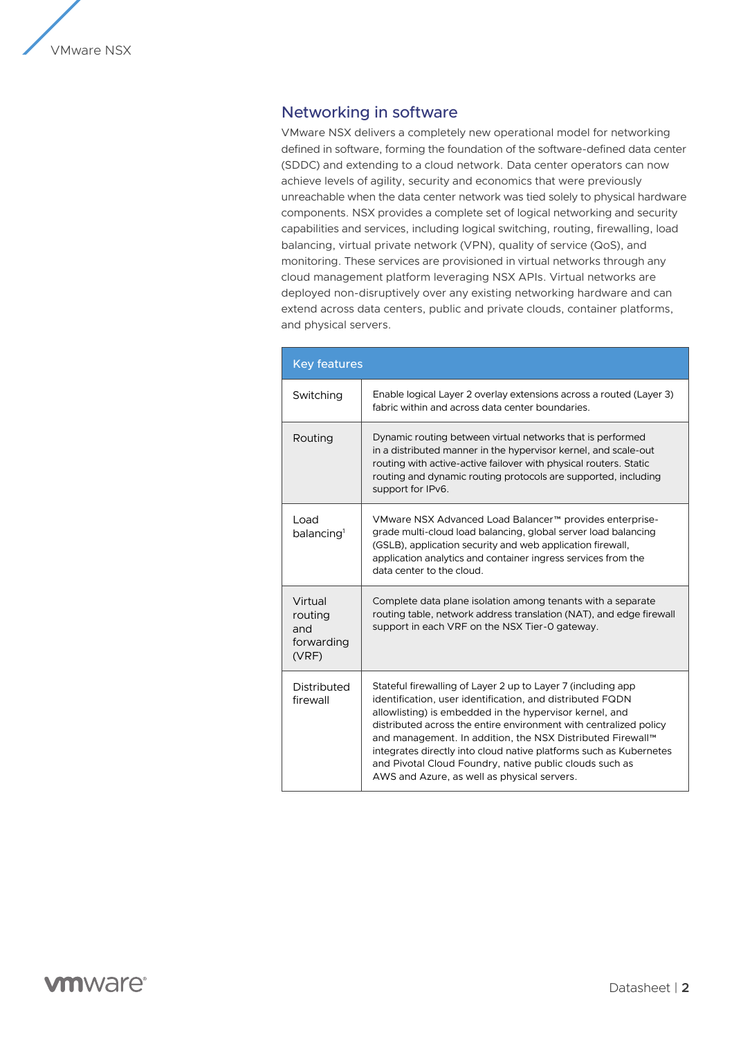# Networking in software

VMware NSX delivers a completely new operational model for networking defined in software, forming the foundation of the software-defined data center (SDDC) and extending to a cloud network. Data center operators can now achieve levels of agility, security and economics that were previously unreachable when the data center network was tied solely to physical hardware components. NSX provides a complete set of logical networking and security capabilities and services, including logical switching, routing, firewalling, load balancing, virtual private network (VPN), quality of service (QoS), and monitoring. These services are provisioned in virtual networks through any cloud management platform leveraging NSX APIs. Virtual networks are deployed non-disruptively over any existing networking hardware and can extend across data centers, public and private clouds, container platforms, and physical servers.

| <b>Key features</b>                              |                                                                                                                                                                                                                                                                                                                                                                                                                                                                                                          |
|--------------------------------------------------|----------------------------------------------------------------------------------------------------------------------------------------------------------------------------------------------------------------------------------------------------------------------------------------------------------------------------------------------------------------------------------------------------------------------------------------------------------------------------------------------------------|
| Switching                                        | Enable logical Layer 2 overlay extensions across a routed (Layer 3)<br>fabric within and across data center boundaries.                                                                                                                                                                                                                                                                                                                                                                                  |
| Routing                                          | Dynamic routing between virtual networks that is performed<br>in a distributed manner in the hypervisor kernel, and scale-out<br>routing with active-active failover with physical routers. Static<br>routing and dynamic routing protocols are supported, including<br>support for IPv6.                                                                                                                                                                                                                |
| Load<br>balancing <sup>1</sup>                   | VMware NSX Advanced Load Balancer™ provides enterprise-<br>grade multi-cloud load balancing, global server load balancing<br>(GSLB), application security and web application firewall,<br>application analytics and container ingress services from the<br>data center to the cloud.                                                                                                                                                                                                                    |
| Virtual<br>routing<br>and<br>forwarding<br>(VRF) | Complete data plane isolation among tenants with a separate<br>routing table, network address translation (NAT), and edge firewall<br>support in each VRF on the NSX Tier-0 gateway.                                                                                                                                                                                                                                                                                                                     |
| Distributed<br>firewall                          | Stateful firewalling of Layer 2 up to Layer 7 (including app)<br>identification, user identification, and distributed FQDN<br>allowlisting) is embedded in the hypervisor kernel, and<br>distributed across the entire environment with centralized policy<br>and management. In addition, the NSX Distributed Firewall™<br>integrates directly into cloud native platforms such as Kubernetes<br>and Pivotal Cloud Foundry, native public clouds such as<br>AWS and Azure, as well as physical servers. |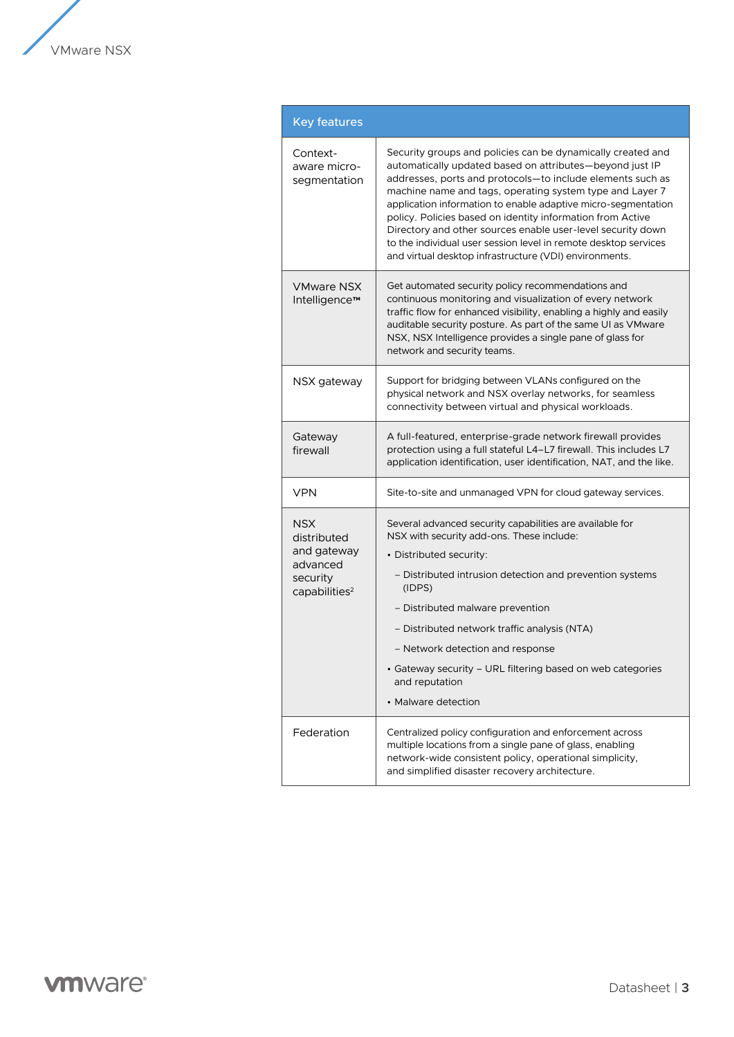

| <b>Key features</b>                                                                           |                                                                                                                                                                                                                                                                                                                                                                                                                                                                                                                                                                              |
|-----------------------------------------------------------------------------------------------|------------------------------------------------------------------------------------------------------------------------------------------------------------------------------------------------------------------------------------------------------------------------------------------------------------------------------------------------------------------------------------------------------------------------------------------------------------------------------------------------------------------------------------------------------------------------------|
| Context-<br>aware micro-<br>segmentation                                                      | Security groups and policies can be dynamically created and<br>automatically updated based on attributes—beyond just IP<br>addresses, ports and protocols-to include elements such as<br>machine name and tags, operating system type and Layer 7<br>application information to enable adaptive micro-segmentation<br>policy. Policies based on identity information from Active<br>Directory and other sources enable user-level security down<br>to the individual user session level in remote desktop services<br>and virtual desktop infrastructure (VDI) environments. |
| VMware NSX<br>Intelligence™                                                                   | Get automated security policy recommendations and<br>continuous monitoring and visualization of every network<br>traffic flow for enhanced visibility, enabling a highly and easily<br>auditable security posture. As part of the same UI as VMware<br>NSX, NSX Intelligence provides a single pane of glass for<br>network and security teams.                                                                                                                                                                                                                              |
| NSX gateway                                                                                   | Support for bridging between VLANs configured on the<br>physical network and NSX overlay networks, for seamless<br>connectivity between virtual and physical workloads.                                                                                                                                                                                                                                                                                                                                                                                                      |
| Gateway<br>firewall                                                                           | A full-featured, enterprise-grade network firewall provides<br>protection using a full stateful L4-L7 firewall. This includes L7<br>application identification, user identification, NAT, and the like.                                                                                                                                                                                                                                                                                                                                                                      |
| <b>VPN</b>                                                                                    | Site-to-site and unmanaged VPN for cloud gateway services.                                                                                                                                                                                                                                                                                                                                                                                                                                                                                                                   |
| <b>NSX</b><br>distributed<br>and gateway<br>advanced<br>security<br>capabilities <sup>2</sup> | Several advanced security capabilities are available for<br>NSX with security add-ons. These include:<br>• Distributed security:<br>- Distributed intrusion detection and prevention systems<br>(IDPS)<br>- Distributed malware prevention<br>- Distributed network traffic analysis (NTA)<br>- Network detection and response<br>• Gateway security - URL filtering based on web categories<br>and reputation<br>• Malware detection                                                                                                                                        |
| Federation                                                                                    | Centralized policy configuration and enforcement across<br>multiple locations from a single pane of glass, enabling<br>network-wide consistent policy, operational simplicity,<br>and simplified disaster recovery architecture.                                                                                                                                                                                                                                                                                                                                             |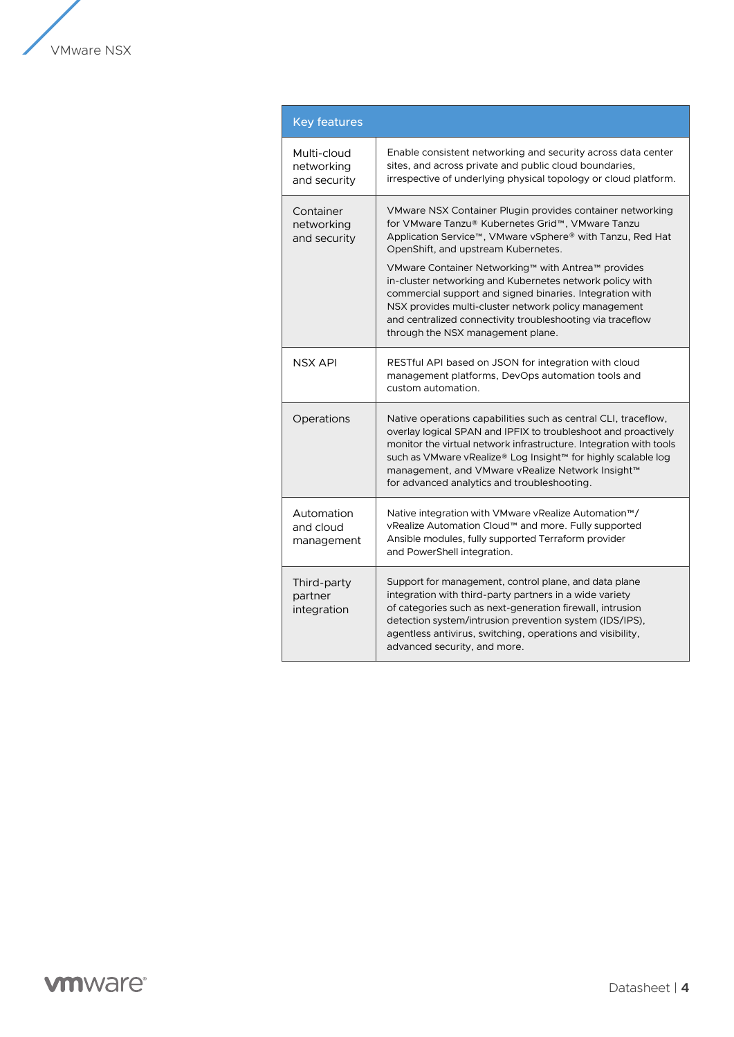

| <b>Key features</b>                       |                                                                                                                                                                                                                                                                                                                                                                            |
|-------------------------------------------|----------------------------------------------------------------------------------------------------------------------------------------------------------------------------------------------------------------------------------------------------------------------------------------------------------------------------------------------------------------------------|
| Multi-cloud<br>networking<br>and security | Enable consistent networking and security across data center<br>sites, and across private and public cloud boundaries,<br>irrespective of underlying physical topology or cloud platform.                                                                                                                                                                                  |
| Container<br>networking<br>and security   | VMware NSX Container Plugin provides container networking<br>for VMware Tanzu® Kubernetes Grid™, VMware Tanzu<br>Application Service™, VMware vSphere® with Tanzu, Red Hat<br>OpenShift, and upstream Kubernetes.                                                                                                                                                          |
|                                           | VMware Container Networking™ with Antrea™ provides<br>in-cluster networking and Kubernetes network policy with<br>commercial support and signed binaries. Integration with<br>NSX provides multi-cluster network policy management<br>and centralized connectivity troubleshooting via traceflow<br>through the NSX management plane.                                      |
| <b>NSX API</b>                            | RESTful API based on JSON for integration with cloud<br>management platforms, DevOps automation tools and<br>custom automation.                                                                                                                                                                                                                                            |
| Operations                                | Native operations capabilities such as central CLI, traceflow,<br>overlay logical SPAN and IPFIX to troubleshoot and proactively<br>monitor the virtual network infrastructure. Integration with tools<br>such as VMware vRealize® Log Insight™ for highly scalable log<br>management, and VMware vRealize Network Insight™<br>for advanced analytics and troubleshooting. |
| Automation<br>and cloud<br>management     | Native integration with VMware vRealize Automation™/<br>vRealize Automation Cloud™ and more. Fully supported<br>Ansible modules, fully supported Terraform provider<br>and PowerShell integration.                                                                                                                                                                         |
| Third-party<br>partner<br>integration     | Support for management, control plane, and data plane<br>integration with third-party partners in a wide variety<br>of categories such as next-generation firewall, intrusion<br>detection system/intrusion prevention system (IDS/IPS),<br>agentless antivirus, switching, operations and visibility,<br>advanced security, and more.                                     |

# **vmware**®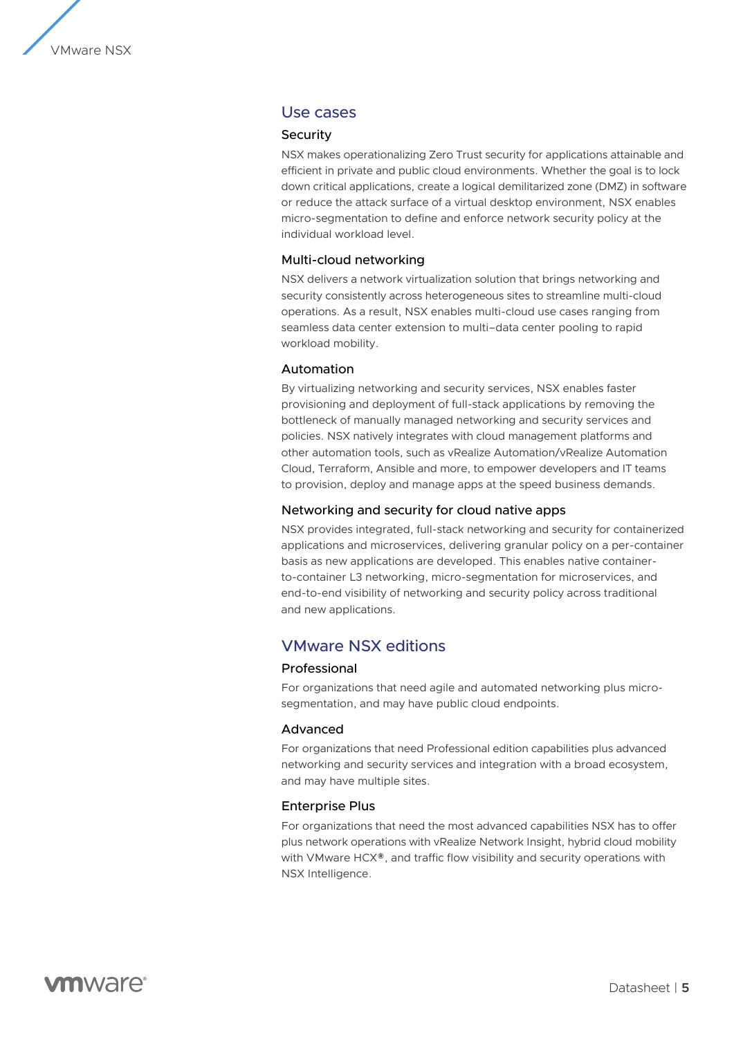

# Use cases

#### Security

NSX makes operationalizing Zero Trust security for applications attainable and efficient in private and public cloud environments. Whether the goal is to lock down critical applications, create a logical demilitarized zone (DMZ) in software or reduce the attack surface of a virtual desktop environment, NSX enables micro-segmentation to define and enforce network security policy at the individual workload level.

#### Multi-cloud networking

NSX delivers a network virtualization solution that brings networking and security consistently across heterogeneous sites to streamline multi-cloud operations. As a result, NSX enables multi-cloud use cases ranging from seamless data center extension to multi–data center pooling to rapid workload mobility.

#### Automation

By virtualizing networking and security services, NSX enables faster provisioning and deployment of full-stack applications by removing the bottleneck of manually managed networking and security services and policies. NSX natively integrates with cloud management platforms and other automation tools, such as vRealize Automation/vRealize Automation Cloud, Terraform, Ansible and more, to empower developers and IT teams to provision, deploy and manage apps at the speed business demands.

#### Networking and security for cloud native apps

NSX provides integrated, full-stack networking and security for containerized applications and microservices, delivering granular policy on a per-container basis as new applications are developed. This enables native containerto-container L3 networking, micro-segmentation for microservices, and end-to-end visibility of networking and security policy across traditional and new applications.

# VMware NSX editions

#### Professional

For organizations that need agile and automated networking plus microsegmentation, and may have public cloud endpoints.

#### Advanced

For organizations that need Professional edition capabilities plus advanced networking and security services and integration with a broad ecosystem, and may have multiple sites.

#### Enterprise Plus

For organizations that need the most advanced capabilities NSX has to offer plus network operations with vRealize Network Insight, hybrid cloud mobility with VMware HCX®, and traffic flow visibility and security operations with NSX Intelligence.

**vm**ware<sup>®</sup>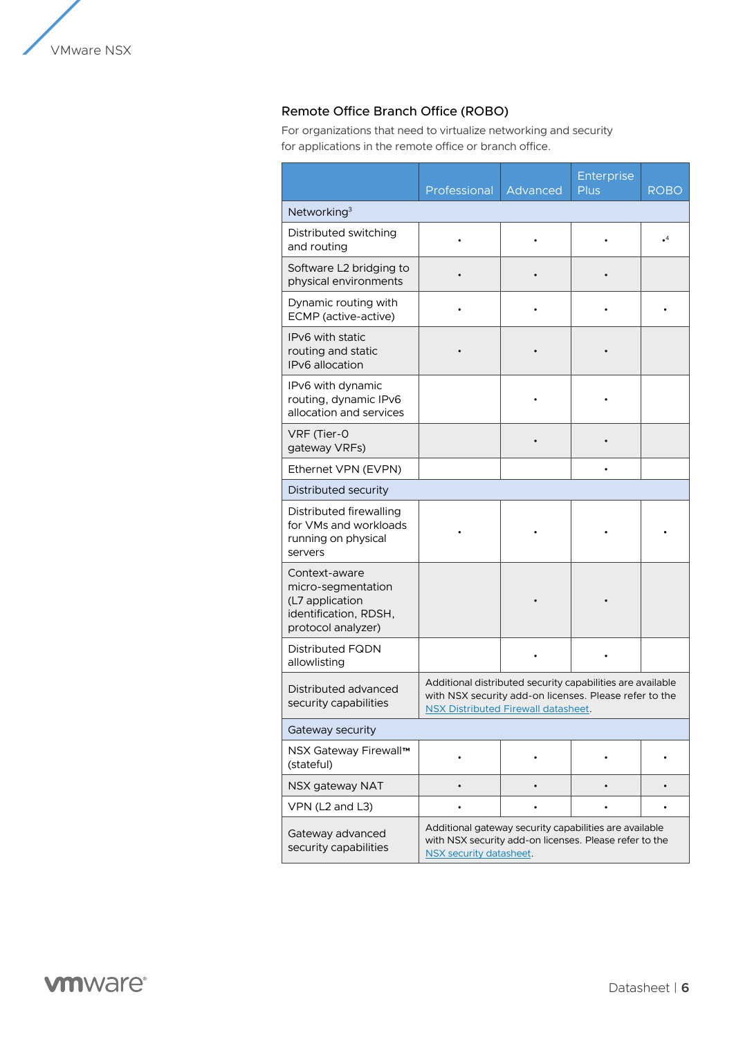# Remote Office Branch Office (ROBO)

For organizations that need to virtualize networking and security for applications in the remote office or branch office.

|                                                                                                       | Professional                                                                                                                                                       | Advanced | Enterprise<br><b>Plus</b> | <b>ROBO</b> |  |
|-------------------------------------------------------------------------------------------------------|--------------------------------------------------------------------------------------------------------------------------------------------------------------------|----------|---------------------------|-------------|--|
| Networking <sup>3</sup>                                                                               |                                                                                                                                                                    |          |                           |             |  |
| Distributed switching<br>and routing                                                                  |                                                                                                                                                                    |          |                           | $\cdot^4$   |  |
| Software L2 bridging to<br>physical environments                                                      |                                                                                                                                                                    |          |                           |             |  |
| Dynamic routing with<br>ECMP (active-active)                                                          |                                                                                                                                                                    |          |                           |             |  |
| IPv6 with static<br>routing and static<br><b>IPv6</b> allocation                                      |                                                                                                                                                                    |          |                           |             |  |
| IPv6 with dynamic<br>routing, dynamic IPv6<br>allocation and services                                 |                                                                                                                                                                    |          |                           |             |  |
| VRF (Tier-0<br>gateway VRFs)                                                                          |                                                                                                                                                                    |          |                           |             |  |
| Ethernet VPN (EVPN)                                                                                   |                                                                                                                                                                    |          |                           |             |  |
| Distributed security                                                                                  |                                                                                                                                                                    |          |                           |             |  |
| Distributed firewalling<br>for VMs and workloads<br>running on physical<br>servers                    |                                                                                                                                                                    |          |                           |             |  |
| Context-aware<br>micro-segmentation<br>(L7 application<br>identification, RDSH,<br>protocol analyzer) |                                                                                                                                                                    |          |                           |             |  |
| <b>Distributed FQDN</b><br>allowlisting                                                               |                                                                                                                                                                    |          |                           |             |  |
| Distributed advanced<br>security capabilities                                                         | Additional distributed security capabilities are available<br>with NSX security add-on licenses. Please refer to the<br><b>NSX Distributed Firewall datasheet.</b> |          |                           |             |  |
| Gateway security                                                                                      |                                                                                                                                                                    |          |                           |             |  |
| NSX Gateway Firewall™<br>(stateful)                                                                   |                                                                                                                                                                    |          |                           |             |  |
| NSX gateway NAT                                                                                       |                                                                                                                                                                    |          |                           |             |  |
| VPN (L2 and L3)                                                                                       |                                                                                                                                                                    |          |                           |             |  |
| Gateway advanced<br>security capabilities                                                             | Additional gateway security capabilities are available<br>with NSX security add-on licenses. Please refer to the<br>NSX security datasheet.                        |          |                           |             |  |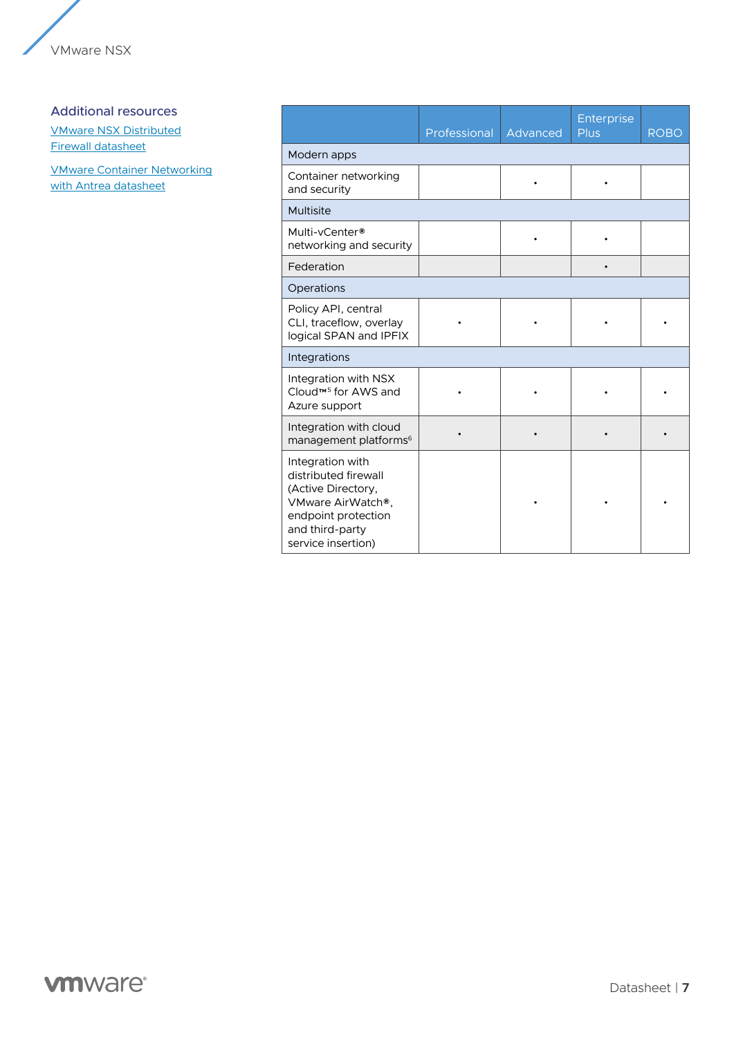

#### Additional resources

[VMware NSX Distributed](https://www.vmware.com/content/dam/digitalmarketing/vmware/en/pdf/docs/vmw-nsx-distributed-firewall.pdf) [Firewall datasheet](https://www.vmware.com/content/dam/digitalmarketing/vmware/en/pdf/docs/vmw-nsx-distributed-firewall.pdf)

[VMware Container Networking](https://www.vmware.com/content/dam/digitalmarketing/vmware/en/pdf/products/vmware-container-networking-antrea-datasheet.pdf) [with Antrea datasheet](https://www.vmware.com/content/dam/digitalmarketing/vmware/en/pdf/products/vmware-container-networking-antrea-datasheet.pdf)

|                                                                                                                                                     | Professional | Advanced | Enterprise<br>Plus | <b>ROBO</b> |
|-----------------------------------------------------------------------------------------------------------------------------------------------------|--------------|----------|--------------------|-------------|
| Modern apps                                                                                                                                         |              |          |                    |             |
| Container networking<br>and security                                                                                                                |              | ٠        | ٠                  |             |
| Multisite                                                                                                                                           |              |          |                    |             |
| Multi-vCenter®<br>networking and security                                                                                                           |              |          |                    |             |
| Federation                                                                                                                                          |              |          | $\bullet$          |             |
| Operations                                                                                                                                          |              |          |                    |             |
| Policy API, central<br>CLI, traceflow, overlay<br>logical SPAN and IPFIX                                                                            |              |          |                    |             |
| Integrations                                                                                                                                        |              |          |                    |             |
| Integration with NSX<br>Cloud™ <sup>5</sup> for AWS and<br>Azure support                                                                            |              |          |                    |             |
| Integration with cloud<br>management platforms <sup>6</sup>                                                                                         |              |          |                    |             |
| Integration with<br>distributed firewall<br>(Active Directory,<br>VMware AirWatch®.<br>endpoint protection<br>and third-party<br>service insertion) |              |          |                    |             |